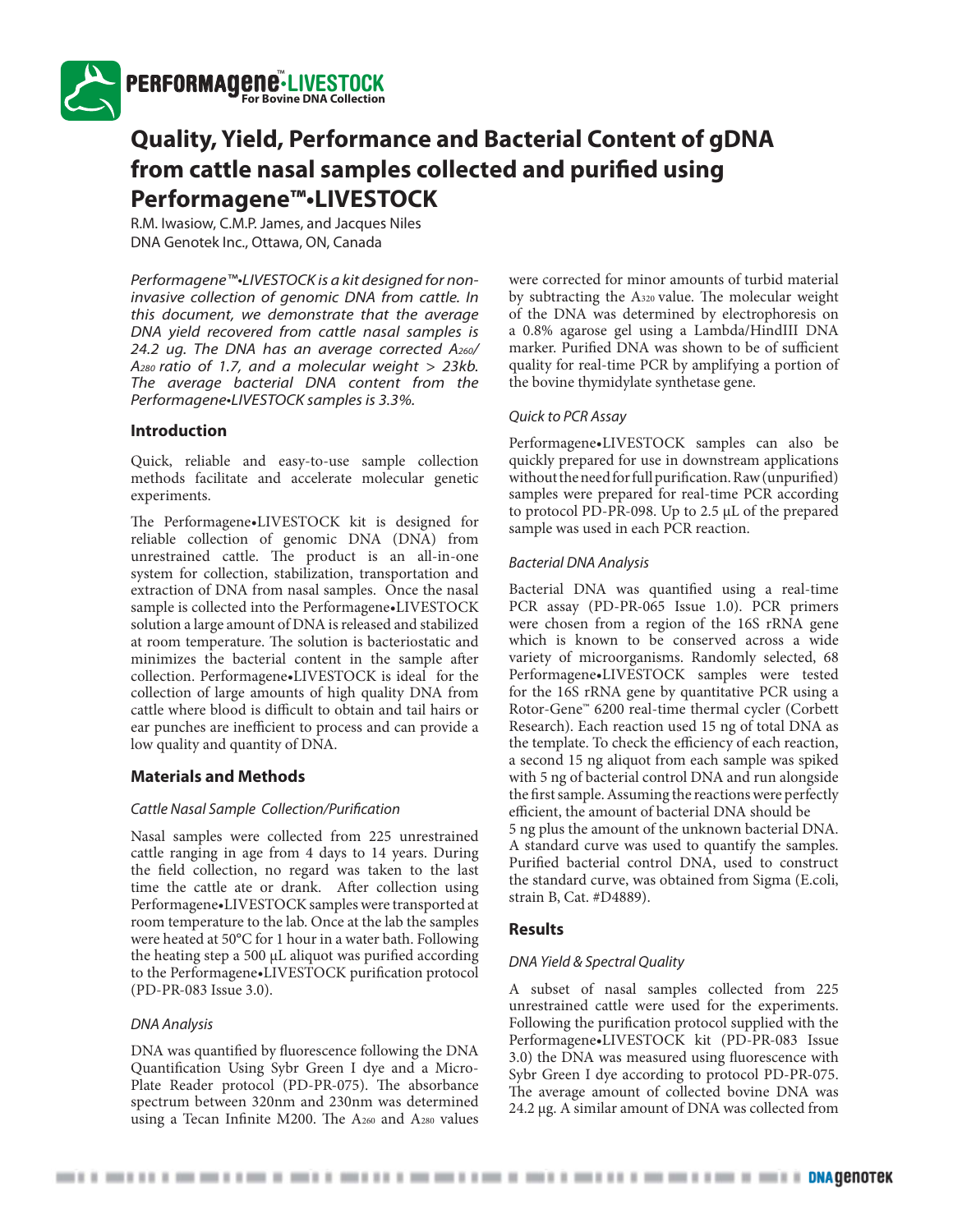

# **Quality, Yield, Performance and Bacterial Content of gDNA**  from cattle nasal samples collected and purified using **Performagene™•LIVESTOCK**

R.M. Iwasiow, C.M.P. James, and Jacques Niles DNA Genotek Inc., Ottawa, ON, Canada

Performagene™•LIVESTOCK is a kit designed for noninvasive collection of genomic DNA from cattle. In this document, we demonstrate that the average DNA yield recovered from cattle nasal samples is 24.2 ug. The DNA has an average corrected A260/ A<sub>280</sub> ratio of 1.7, and a molecular weight  $> 23kb$ . The average bacterial DNA content from the Performagene•LIVESTOCK samples is 3.3%.

#### **Introduction**

Quick, reliable and easy-to-use sample collection methods facilitate and accelerate molecular genetic experiments.

The Performagene•LIVESTOCK kit is designed for reliable collection of genomic DNA (DNA) from unrestrained cattle. The product is an all-in-one system for collection, stabilization, transportation and extraction of DNA from nasal samples. Once the nasal sample is collected into the Performagene•LIVESTOCK solution a large amount of DNA is released and stabilized at room temperature. The solution is bacteriostatic and minimizes the bacterial content in the sample after collection. Performagene•LIVESTOCK is ideal for the collection of large amounts of high quality DNA from cattle where blood is difficult to obtain and tail hairs or ear punches are inefficient to process and can provide a low quality and quantity of DNA.

# **Materials and Methods**

#### Cattle Nasal Sample Collection/Purification

Nasal samples were collected from 225 unrestrained cattle ranging in age from 4 days to 14 years. During the field collection, no regard was taken to the last time the cattle ate or drank. After collection using Performagene•LIVESTOCK samples were transported at room temperature to the lab. Once at the lab the samples were heated at 50°C for 1 hour in a water bath. Following the heating step a 500  $\mu$ L aliquot was purified according to the Performagene•LIVESTOCK purification protocol (PD-PR-083 Issue 3.0).

#### DNA Analysis

DNA was quantified by fluorescence following the DNA Quantification Using Sybr Green I dye and a Micro-Plate Reader protocol (PD-PR-075). The absorbance spectrum between 320nm and 230nm was determined using a Tecan Infinite M200. The  $A_{260}$  and  $A_{280}$  values

were corrected for minor amounts of turbid material by subtracting the A320 value. The molecular weight of the DNA was determined by electrophoresis on a 0.8% agarose gel using a Lambda/HindIII DNA marker. Purified DNA was shown to be of sufficient quality for real-time PCR by amplifying a portion of the bovine thymidylate synthetase gene.

#### Quick to PCR Assay

Performagene•LIVESTOCK samples can also be quickly prepared for use in downstream applications without the need for full purification. Raw (unpurified) samples were prepared for real-time PCR according to protocol PD-PR-098. Up to 2.5 μL of the prepared sample was used in each PCR reaction.

#### Bacterial DNA Analysis

Bacterial DNA was quantified using a real-time PCR assay (PD-PR-065 Issue 1.0). PCR primers were chosen from a region of the 16S rRNA gene which is known to be conserved across a wide variety of microorganisms. Randomly selected, 68 Performagene•LIVESTOCK samples were tested for the 16S rRNA gene by quantitative PCR using a Rotor-Gene™ 6200 real-time thermal cycler (Corbett Research). Each reaction used 15 ng of total DNA as the template. To check the efficiency of each reaction, a second 15 ng aliquot from each sample was spiked with 5 ng of bacterial control DNA and run alongside the first sample. Assuming the reactions were perfectly efficient, the amount of bacterial DNA should be 5 ng plus the amount of the unknown bacterial DNA. A standard curve was used to quantify the samples. Purified bacterial control DNA, used to construct the standard curve, was obtained from Sigma (E.coli, strain B, Cat. #D4889).

#### **Results**

#### DNA Yield & Spectral Quality

A subset of nasal samples collected from 225 unrestrained cattle were used for the experiments. Following the purification protocol supplied with the Performagene•LIVESTOCK kit (PD-PR-083 Issue 3.0) the DNA was measured using fluorescence with Sybr Green I dye according to protocol PD-PR-075. The average amount of collected bovine DNA was 24.2 μg. A similar amount of DNA was collected from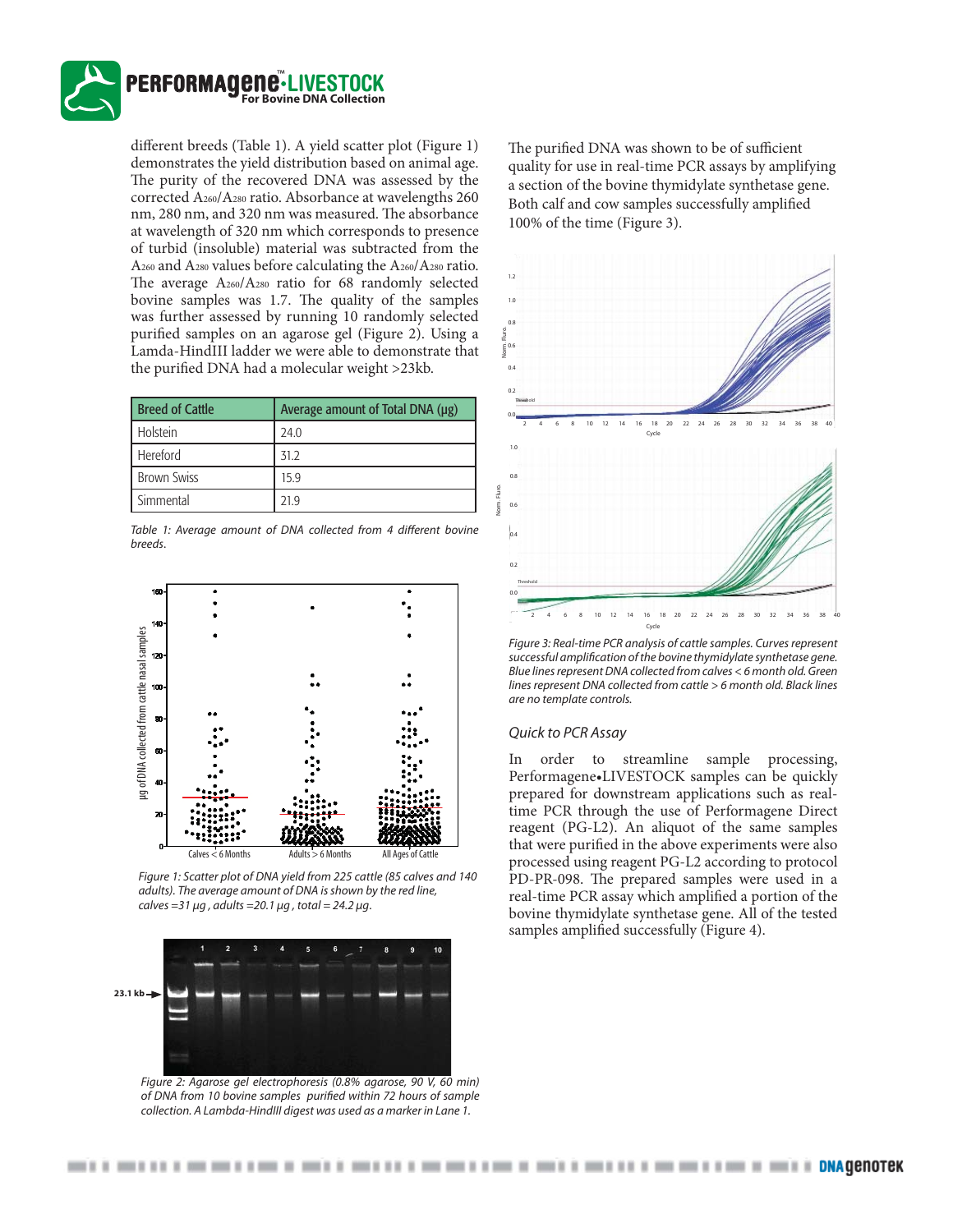

different breeds (Table 1). A yield scatter plot (Figure 1) demonstrates the yield distribution based on animal age. The purity of the recovered DNA was assessed by the corrected A260/A280 ratio. Absorbance at wavelengths 260 nm, 280 nm, and 320 nm was measured. The absorbance at wavelength of 320 nm which corresponds to presence of turbid (insoluble) material was subtracted from the A260 and A280 values before calculating the A260/A280 ratio. The average A260/A280 ratio for 68 randomly selected bovine samples was 1.7. The quality of the samples was further assessed by running 10 randomly selected purified samples on an agarose gel (Figure 2). Using a Lamda-HindIII ladder we were able to demonstrate that the purified DNA had a molecular weight >23kb.

| <b>Breed of Cattle</b> | Average amount of Total DNA (μg) |
|------------------------|----------------------------------|
| Holstein               | 24.0                             |
| Hereford               | 31.2                             |
| <b>Brown Swiss</b>     | 15.9                             |
| Simmental              | 21 Q                             |

Table 1: Average amount of DNA collected from 4 different bovine breeds.



Figure 1: Scatter plot of DNA yield from 225 cattle (85 calves and 140 adults). The average amount of DNA is shown by the red line, calves = 31  $\mu$ g, adults = 20.1  $\mu$ g, total = 24.2  $\mu$ g.



Figure 2: Agarose gel electrophoresis (0.8% agarose, 90 V, 60 min) of DNA from 10 bovine samples purified within 72 hours of sample collection. A Lambda-HindIII digest was used as a marker in Lane 1.

The purified DNA was shown to be of sufficient quality for use in real-time PCR assays by amplifying a section of the bovine thymidylate synthetase gene. Both calf and cow samples successfully amplified 100% of the time (Figure 3).



Figure 3: Real-time PCR analysis of cattle samples. Curves represent successful amplification of the bovine thymidylate synthetase gene. Blue lines represent DNA collected from calves < 6 month old. Green lines represent DNA collected from cattle > 6 month old. Black lines are no template controls.

#### Quick to PCR Assay

In order to streamline sample processing, Performagene•LIVESTOCK samples can be quickly prepared for downstream applications such as realtime PCR through the use of Performagene Direct reagent (PG-L2). An aliquot of the same samples that were purified in the above experiments were also processed using reagent PG-L2 according to protocol PD-PR-098. The prepared samples were used in a real-time PCR assay which amplified a portion of the bovine thymidylate synthetase gene. All of the tested samples amplified successfully (Figure 4).